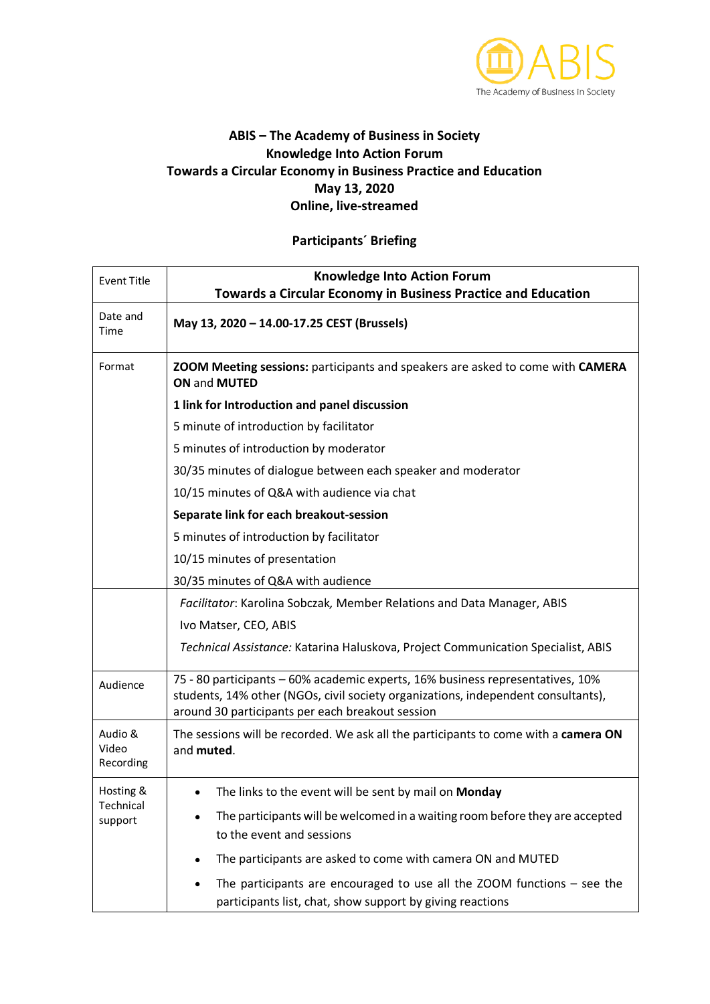

## **ABIS – The Academy of Business in Society Knowledge Into Action Forum Towards a Circular Economy in Business Practice and Education May 13, 2020 Online, live-streamed**

## **Participants´ Briefing**

| <b>Event Title</b>                | <b>Knowledge Into Action Forum</b>                                                                                                                                                                                      |
|-----------------------------------|-------------------------------------------------------------------------------------------------------------------------------------------------------------------------------------------------------------------------|
|                                   | <b>Towards a Circular Economy in Business Practice and Education</b>                                                                                                                                                    |
| Date and<br>Time                  | May 13, 2020 - 14.00-17.25 CEST (Brussels)                                                                                                                                                                              |
| Format                            | ZOOM Meeting sessions: participants and speakers are asked to come with CAMERA<br>ON and MUTED                                                                                                                          |
|                                   | 1 link for Introduction and panel discussion                                                                                                                                                                            |
|                                   | 5 minute of introduction by facilitator                                                                                                                                                                                 |
|                                   | 5 minutes of introduction by moderator                                                                                                                                                                                  |
|                                   | 30/35 minutes of dialogue between each speaker and moderator                                                                                                                                                            |
|                                   | 10/15 minutes of Q&A with audience via chat                                                                                                                                                                             |
|                                   | Separate link for each breakout-session                                                                                                                                                                                 |
|                                   | 5 minutes of introduction by facilitator                                                                                                                                                                                |
|                                   | 10/15 minutes of presentation                                                                                                                                                                                           |
|                                   | 30/35 minutes of Q&A with audience                                                                                                                                                                                      |
|                                   | Facilitator: Karolina Sobczak, Member Relations and Data Manager, ABIS                                                                                                                                                  |
|                                   | Ivo Matser, CEO, ABIS                                                                                                                                                                                                   |
|                                   | Technical Assistance: Katarina Haluskova, Project Communication Specialist, ABIS                                                                                                                                        |
| Audience                          | 75 - 80 participants - 60% academic experts, 16% business representatives, 10%<br>students, 14% other (NGOs, civil society organizations, independent consultants),<br>around 30 participants per each breakout session |
| Audio &<br>Video<br>Recording     | The sessions will be recorded. We ask all the participants to come with a camera ON<br>and muted.                                                                                                                       |
| Hosting &<br>Technical<br>support | The links to the event will be sent by mail on Monday                                                                                                                                                                   |
|                                   | The participants will be welcomed in a waiting room before they are accepted<br>to the event and sessions                                                                                                               |
|                                   | The participants are asked to come with camera ON and MUTED                                                                                                                                                             |
|                                   | The participants are encouraged to use all the $ZOOM$ functions – see the<br>participants list, chat, show support by giving reactions                                                                                  |